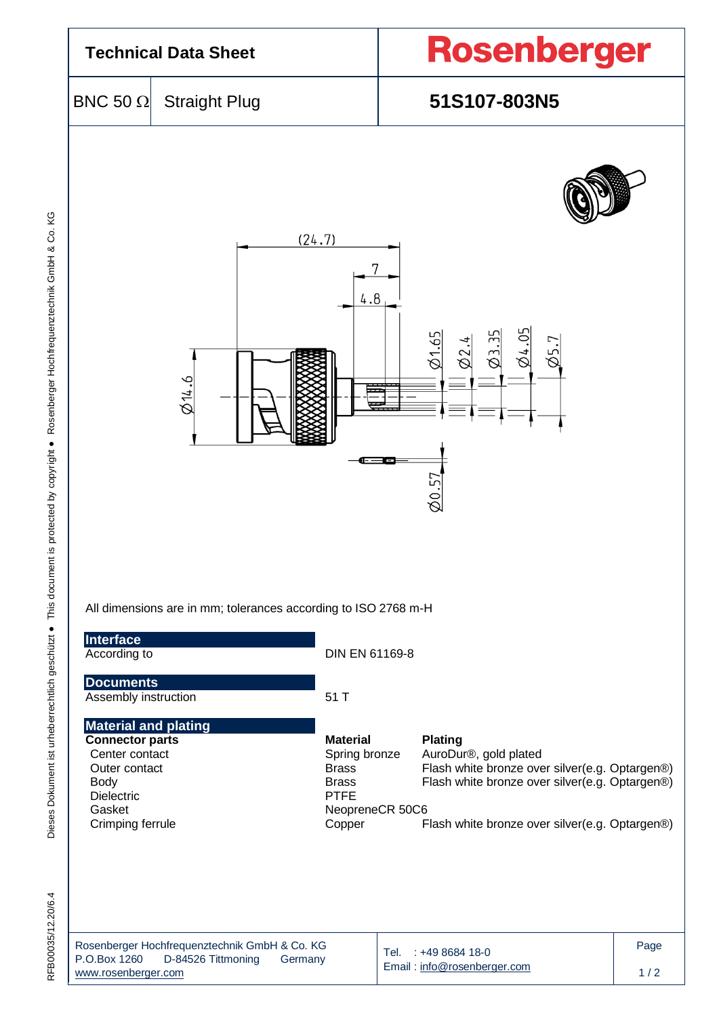